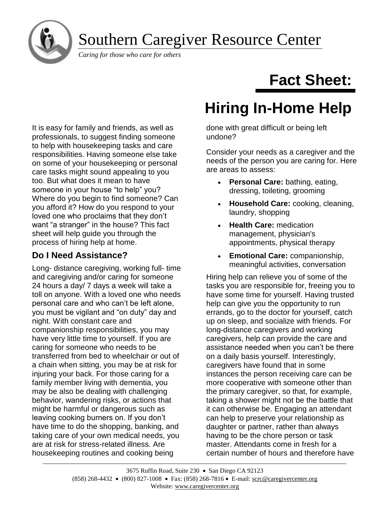Southern Caregiver Resource Center

*Caring for those who care for others*

It is easy for family and friends, as well as professionals, to suggest finding someone to help with housekeeping tasks and care responsibilities. Having someone else take on some of your housekeeping or personal care tasks might sound appealing to you too. But what does it mean to have someone in your house "to help" you? Where do you begin to find someone? Can you afford it? How do you respond to your loved one who proclaims that they don't want "a stranger" in the house? This fact sheet will help guide you through the process of hiring help at home.

## **Do I Need Assistance?**

Long- distance caregiving, working full- time and caregiving and/or caring for someone 24 hours a day/ 7 days a week will take a toll on anyone. With a loved one who needs personal care and who can't be left alone, you must be vigilant and "on duty" day and night. With constant care and companionship responsibilities, you may have very little time to yourself. If you are caring for someone who needs to be transferred from bed to wheelchair or out of a chain when sitting, you may be at risk for injuring your back. For those caring for a family member living with dementia, you may be also be dealing with challenging behavior, wandering risks, or actions that might be harmful or dangerous such as leaving cooking burners on. If you don't have time to do the shopping, banking, and taking care of your own medical needs, you are at risk for stress-related illness. Are housekeeping routines and cooking being

## **Fact Sheet:**

# **Hiring In-Home Help**

done with great difficult or being left undone?

Consider your needs as a caregiver and the needs of the person you are caring for. Here are areas to assess:

- **Personal Care:** bathing, eating, dressing, toileting, grooming
- **Household Care:** cooking, cleaning, laundry, shopping
- **Health Care:** medication management, physician's appointments, physical therapy
- **Emotional Care:** companionship, meaningful activities, conversation

Hiring help can relieve you of some of the tasks you are responsible for, freeing you to have some time for yourself. Having trusted help can give you the opportunity to run errands, go to the doctor for yourself, catch up on sleep, and socialize with friends. For long-distance caregivers and working caregivers, help can provide the care and assistance needed when you can't be there on a daily basis yourself. Interestingly, caregivers have found that in some instances the person receiving care can be more cooperative with someone other than the primary caregiver, so that, for example, taking a shower might not be the battle that it can otherwise be. Engaging an attendant can help to preserve your relationship as daughter or partner, rather than always having to be the chore person or task master. Attendants come in fresh for a certain number of hours and therefore have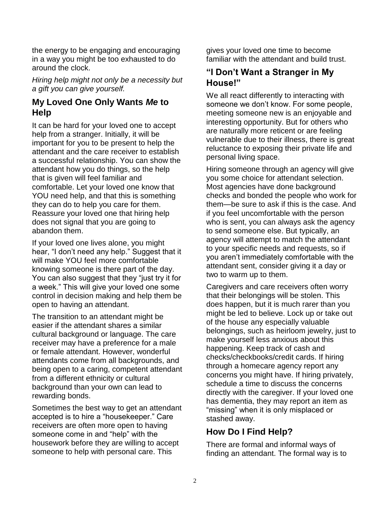the energy to be engaging and encouraging in a way you might be too exhausted to do around the clock.

*Hiring help might not only be a necessity but a gift you can give yourself.*

#### **My Loved One Only Wants** *Me* **to Help**

It can be hard for your loved one to accept help from a stranger. Initially, it will be important for you to be present to help the attendant and the care receiver to establish a successful relationship. You can show the attendant how you do things, so the help that is given will feel familiar and comfortable. Let your loved one know that YOU need help, and that this is something they can do to help you care for them. Reassure your loved one that hiring help does not signal that you are going to abandon them.

If your loved one lives alone, you might hear, "I don't need any help." Suggest that it will make YOU feel more comfortable knowing someone is there part of the day. You can also suggest that they "just try it for a week." This will give your loved one some control in decision making and help them be open to having an attendant.

The transition to an attendant might be easier if the attendant shares a similar cultural background or language. The care receiver may have a preference for a male or female attendant. However, wonderful attendants come from all backgrounds, and being open to a caring, competent attendant from a different ethnicity or cultural background than your own can lead to rewarding bonds.

Sometimes the best way to get an attendant accepted is to hire a "housekeeper." Care receivers are often more open to having someone come in and "help" with the housework before they are willing to accept someone to help with personal care. This

gives your loved one time to become familiar with the attendant and build trust.

## **"I Don't Want a Stranger in My House!"**

We all react differently to interacting with someone we don't know. For some people, meeting someone new is an enjoyable and interesting opportunity. But for others who are naturally more reticent or are feeling vulnerable due to their illness, there is great reluctance to exposing their private life and personal living space.

Hiring someone through an agency will give you some choice for attendant selection. Most agencies have done background checks and bonded the people who work for them—be sure to ask if this is the case. And if you feel uncomfortable with the person who is sent, you can always ask the agency to send someone else. But typically, an agency will attempt to match the attendant to your specific needs and requests, so if you aren't immediately comfortable with the attendant sent, consider giving it a day or two to warm up to them.

Caregivers and care receivers often worry that their belongings will be stolen. This does happen, but it is much rarer than you might be led to believe. Lock up or take out of the house any especially valuable belongings, such as heirloom jewelry, just to make yourself less anxious about this happening. Keep track of cash and checks/checkbooks/credit cards. If hiring through a homecare agency report any concerns you might have. If hiring privately, schedule a time to discuss the concerns directly with the caregiver. If your loved one has dementia, they may report an item as "missing" when it is only misplaced or stashed away.

## **How Do I Find Help?**

There are formal and informal ways of finding an attendant. The formal way is to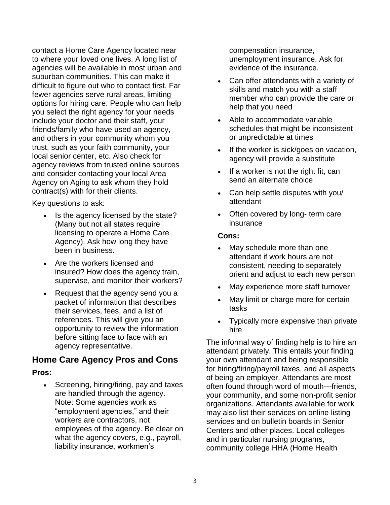contact a Home Care Agency located near to where your loved one lives. A long list of agencies will be available in most urban and suburban communities. This can make it difficult to figure out who to contact first. Far fewer agencies serve rural areas, limiting options for hiring care. People who can help you select the right agency for your needs include your doctor and their staff, your friends/family who have used an agency, and others in your community whom you trust, such as your faith community, your local senior center, etc. Also check for agency reviews from trusted online sources and consider contacting your local Area Agency on Aging to ask whom they hold contract(s) with for their clients.

Key questions to ask:

- Is the agency licensed by the state? (Many but not all states require licensing to operate a Home Care Agency). Ask how long they have been in business.
- Are the workers licensed and insured? How does the agency train, supervise, and monitor their workers?
- Request that the agency send you a packet of information that describes their services, fees, and a list of references. This will give you an opportunity to review the information before sitting face to face with an agency representative.

## **Home Care Agency Pros and Cons**

#### **Pros:**

• Screening, hiring/firing, pay and taxes are handled through the agency. Note: Some agencies work as "employment agencies," and their workers are contractors, not employees of the agency. Be clear on what the agency covers, e.g., payroll, liability insurance, workmen's

compensation insurance, unemployment insurance. Ask for evidence of the insurance.

- Can offer attendants with a variety of skills and match you with a staff member who can provide the care or help that you need
- Able to accommodate variable schedules that might be inconsistent or unpredictable at times
- If the worker is sick/goes on vacation, agency will provide a substitute
- If a worker is not the right fit, can send an alternate choice
- Can help settle disputes with you/ attendant
- Often covered by long- term care insurance

#### **Cons:**

- May schedule more than one attendant if work hours are not consistent, needing to separately orient and adjust to each new person
- May experience more staff turnover
- May limit or charge more for certain tasks
- Typically more expensive than private hire

The informal way of finding help is to hire an attendant privately. This entails your finding your own attendant and being responsible for hiring/firing/payroll taxes, and all aspects of being an employer. Attendants are most often found through word of mouth—friends, your community, and some non-profit senior organizations. Attendants available for work may also list their services on online listing services and on bulletin boards in Senior Centers and other places. Local colleges and in particular nursing programs, community college HHA (Home Health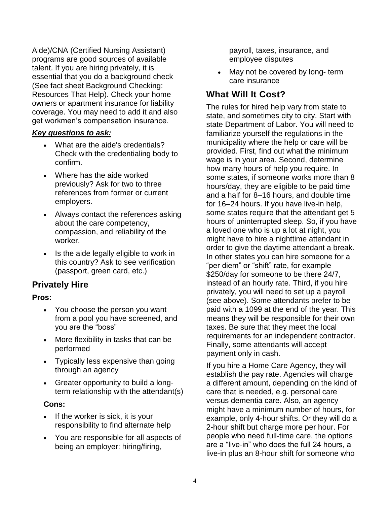Aide)/CNA (Certified Nursing Assistant) programs are good sources of available talent. If you are hiring privately, it is essential that you do a background check (See fact sheet [Background Checking:](https://www.caregiver.org/background-checking-resources-help)  [Resources That Help\)](https://www.caregiver.org/background-checking-resources-help). Check your home owners or apartment insurance for liability coverage. You may need to add it and also get workmen's compensation insurance.

#### *Key questions to ask:*

- What are the aide's credentials? Check with the credentialing body to confirm.
- Where has the aide worked previously? Ask for two to three references from former or current employers.
- Always contact the references asking about the care competency, compassion, and reliability of the worker.
- Is the aide legally eligible to work in this country? Ask to see verification (passport, green card, etc.)

## **Privately Hire**

#### **Pros:**

- You choose the person you want from a pool you have screened, and you are the "boss"
- More flexibility in tasks that can be performed
- Typically less expensive than going through an agency
- Greater opportunity to build a longterm relationship with the attendant(s)

#### **Cons:**

- If the worker is sick, it is your responsibility to find alternate help
- You are responsible for all aspects of being an employer: hiring/firing,

payroll, taxes, insurance, and employee disputes

May not be covered by long- term care insurance

## **What Will It Cost?**

The rules for hired help vary from state to state, and sometimes city to city. Start with state Department of Labor. You will need to familiarize yourself the regulations in the municipality where the help or care will be provided. First, find out what the minimum wage is in your area. Second, determine how many hours of help you require. In some states, if someone works more than 8 hours/day, they are eligible to be paid time and a half for 8–16 hours, and double time for 16–24 hours. If you have live-in help, some states require that the attendant get 5 hours of uninterrupted sleep. So, if you have a loved one who is up a lot at night, you might have to hire a nighttime attendant in order to give the daytime attendant a break. In other states you can hire someone for a "per diem" or "shift" rate, for example \$250/day for someone to be there 24/7, instead of an hourly rate. Third, if you hire privately, you will need to set up a payroll (see above). Some attendants prefer to be paid with a 1099 at the end of the year. This means they will be responsible for their own taxes. Be sure that they meet the local requirements for an independent contractor. Finally, some attendants will accept payment only in cash.

If you hire a Home Care Agency, they will establish the pay rate. Agencies will charge a different amount, depending on the kind of care that is needed, e.g. personal care versus dementia care. Also, an agency might have a minimum number of hours, for example, only 4-hour shifts. Or they will do a 2-hour shift but charge more per hour. For people who need full-time care, the options are a "live-in" who does the full 24 hours, a live-in plus an 8-hour shift for someone who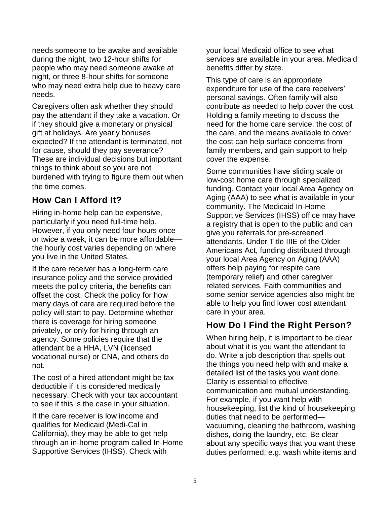needs someone to be awake and available during the night, two 12-hour shifts for people who may need someone awake at night, or three 8-hour shifts for someone who may need extra help due to heavy care needs.

Caregivers often ask whether they should pay the attendant if they take a vacation. Or if they should give a monetary or physical gift at holidays. Are yearly bonuses expected? If the attendant is terminated, not for cause, should they pay severance? These are individual decisions but important things to think about so you are not burdened with trying to figure them out when the time comes.

## **How Can I Afford It?**

Hiring in-home help can be expensive, particularly if you need full-time help. However, if you only need four hours once or twice a week, it can be more affordable the hourly cost varies depending on where you live in the United States.

If the care receiver has a long-term care insurance policy and the service provided meets the policy criteria, the benefits can offset the cost. Check the policy for how many days of care are required before the policy will start to pay. Determine whether there is coverage for hiring someone privately, or only for hiring through an agency. Some policies require that the attendant be a HHA, LVN (licensed vocational nurse) or CNA, and others do not.

The cost of a hired attendant might be tax deductible if it is considered medically necessary. Check with your tax accountant to see if this is the case in your situation.

If the care receiver is low income and qualifies for Medicaid (Medi-Cal in California), they may be able to get help through an in-home program called In-Home Supportive Services (IHSS). Check with

your local Medicaid office to see what services are available in your area. Medicaid benefits differ by state.

This type of care is an appropriate expenditure for use of the care receivers' personal savings. Often family will also contribute as needed to help cover the cost. Holding a family meeting to discuss the need for the home care service, the cost of the care, and the means available to cover the cost can help surface concerns from family members, and gain support to help cover the expense.

Some communities have sliding scale or low-cost home care through specialized funding. Contact your local Area Agency on Aging (AAA) to see what is available in your community. The Medicaid In-Home Supportive Services (IHSS) office may have a registry that is open to the public and can give you referrals for pre-screened attendants. Under Title IIIE of the Older Americans Act, funding distributed through your local Area Agency on Aging (AAA) offers help paying for respite care (temporary relief) and other caregiver related services. Faith communities and some senior service agencies also might be able to help you find lower cost attendant care in your area.

## **How Do I Find the Right Person?**

When hiring help, it is important to be clear about what it is you want the attendant to do. Write a job description that spells out the things you need help with and make a detailed list of the tasks you want done. Clarity is essential to effective communication and mutual understanding. For example, if you want help with housekeeping, list the kind of housekeeping duties that need to be performed vacuuming, cleaning the bathroom, washing dishes, doing the laundry, etc. Be clear about any specific ways that you want these duties performed, e.g. wash white items and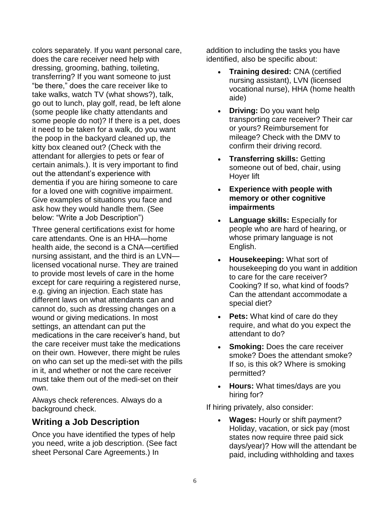colors separately. If you want personal care, does the care receiver need help with dressing, grooming, bathing, toileting, transferring? If you want someone to just "be there," does the care receiver like to take walks, watch TV (what shows?), talk, go out to lunch, play golf, read, be left alone (some people like chatty attendants and some people do not)? If there is a pet, does it need to be taken for a walk, do you want the poop in the backyard cleaned up, the kitty box cleaned out? (Check with the attendant for allergies to pets or fear of certain animals.). It is very important to find out the attendant's experience with dementia if you are hiring someone to care for a loved one with cognitive impairment. Give examples of situations you face and ask how they would handle them. (See below: "Write a Job Description")

Three general certifications exist for home care attendants. One is an HHA—home health aide, the second is a CNA—certified nursing assistant, and the third is an LVN licensed vocational nurse. They are trained to provide most levels of care in the home except for care requiring a registered nurse, e.g. giving an injection. Each state has different laws on what attendants can and cannot do, such as dressing changes on a wound or giving medications. In most settings, an attendant can put the medications in the care receiver's hand, but the care receiver must take the medications on their own. However, there might be rules on who can set up the medi-set with the pills in it, and whether or not the care receiver must take them out of the medi-set on their own.

Always check references. Always do a background check.

## **Writing a Job Description**

Once you have identified the types of help you need, write a job description. (See fact sheet Personal Care Agreements.) In

addition to including the tasks you have identified, also be specific about:

- **Training desired:** CNA (certified nursing assistant), LVN (licensed vocational nurse), HHA (home health aide)
- **Driving:** Do you want help transporting care receiver? Their car or yours? Reimbursement for mileage? Check with the DMV to confirm their driving record.
- **Transferring skills:** Getting someone out of bed, chair, using Hoyer lift
- **Experience with people with memory or other cognitive impairments**
- **Language skills:** Especially for people who are hard of hearing, or whose primary language is not English.
- **Housekeeping:** What sort of housekeeping do you want in addition to care for the care receiver? Cooking? If so, what kind of foods? Can the attendant accommodate a special diet?
- **Pets:** What kind of care do they require, and what do you expect the attendant to do?
- **Smoking:** Does the care receiver smoke? Does the attendant smoke? If so, is this ok? Where is smoking permitted?
- **Hours:** What times/days are you hiring for?

If hiring privately, also consider:

• **Wages:** Hourly or shift payment? Holiday, vacation, or sick pay (most states now require three paid sick days/year)? How will the attendant be paid, including withholding and taxes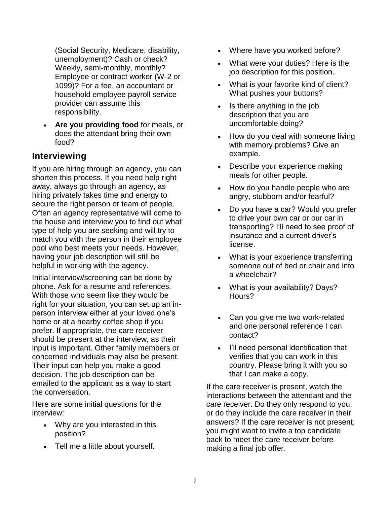(Social Security, Medicare, disability, unemployment)? Cash or check? Weekly, semi-monthly, monthly? Employee or contract worker (W-2 or 1099)? For a fee, an accountant or household employee payroll service provider can assume this responsibility.

• **Are you providing food** for meals, or does the attendant bring their own food?

## **Interviewing**

If you are hiring through an agency, you can shorten this process. If you need help right away, always go through an agency, as hiring privately takes time and energy to secure the right person or team of people. Often an agency representative will come to the house and interview you to find out what type of help you are seeking and will try to match you with the person in their employee pool who best meets your needs. However, having your job description will still be helpful in working with the agency.

Initial interview/screening can be done by phone. Ask for a resume and references. With those who seem like they would be right for your situation, you can set up an inperson interview either at your loved one's home or at a nearby coffee shop if you prefer. If appropriate, the care receiver should be present at the interview, as their input is important. Other family members or concerned individuals may also be present. Their input can help you make a good decision. The job description can be emailed to the applicant as a way to start the conversation.

Here are some initial questions for the interview:

- Why are you interested in this position?
- Tell me a little about yourself.
- Where have you worked before?
- What were your duties? Here is the job description for this position.
- What is your favorite kind of client? What pushes your buttons?
- Is there anything in the job description that you are uncomfortable doing?
- How do you deal with someone living with memory problems? Give an example.
- Describe your experience making meals for other people.
- How do you handle people who are angry, stubborn and/or fearful?
- Do you have a car? Would you prefer to drive your own car or our car in transporting? I'll need to see proof of insurance and a current driver's license.
- What is your experience transferring someone out of bed or chair and into a wheelchair?
- What is your availability? Days? Hours?
- Can you give me two work-related and one personal reference I can contact?
- I'll need personal identification that verifies that you can work in this country. Please bring it with you so that I can make a copy.

If the care receiver is present, watch the interactions between the attendant and the care receiver. Do they only respond to you, or do they include the care receiver in their answers? If the care receiver is not present, you might want to invite a top candidate back to meet the care receiver before making a final job offer.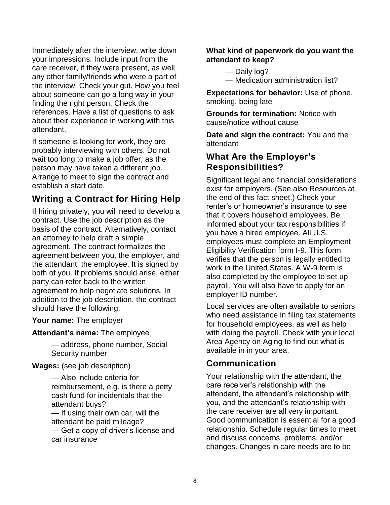Immediately after the interview, write down your impressions. Include input from the care receiver, if they were present, as well any other family/friends who were a part of the interview. Check your gut. How you feel about someone can go a long way in your finding the right person. Check the references. Have a list of questions to ask about their experience in working with this attendant.

If someone is looking for work, they are probably interviewing with others. Do not wait too long to make a job offer, as the person may have taken a different job. Arrange to meet to sign the contract and establish a start date.

## **Writing a Contract for Hiring Help**

If hiring privately, you will need to develop a contract. Use the job description as the basis of the contract. Alternatively, contact an attorney to help draft a simple agreement. The contract formalizes the agreement between you, the employer, and the attendant, the employee. It is signed by both of you. If problems should arise, either party can refer back to the written agreement to help negotiate solutions. In addition to the job description, the contract should have the following:

**Your name:** The employer

**Attendant's name:** The employee

— address, phone number, Social Security number

**Wages:** (see job description)

— Also include criteria for reimbursement, e.g. is there a petty cash fund for incidentals that the attendant buys? — If using their own car, will the attendant be paid mileage? — Get a copy of driver's license and car insurance

#### **What kind of paperwork do you want the attendant to keep?**

— Daily log?

— Medication administration list?

**Expectations for behavior:** Use of phone, smoking, being late

**Grounds for termination:** Notice with cause/notice without cause

**Date and sign the contract:** You and the attendant

## **What Are the Employer's Responsibilities?**

Significant legal and financial considerations exist for employers. (See also Resources at the end of this fact sheet.) Check your renter's or homeowner's insurance to see that it covers household employees. Be informed about your tax responsibilities if you have a hired employee. All U.S. employees must complete an Employment Eligibility Verification form I-9. This form verifies that the person is legally entitled to work in the United States. A W-9 form is also completed by the employee to set up payroll. You will also have to apply for an employer ID number.

Local services are often available to seniors who need assistance in filing tax statements for household employees, as well as help with doing the payroll. Check with your local Area Agency on Aging to find out what is available in in your area.

## **Communication**

Your relationship with the attendant, the care receiver's relationship with the attendant, the attendant's relationship with you, and the attendant's relationship with the care receiver are all very important. Good communication is essential for a good relationship. Schedule regular times to meet and discuss concerns, problems, and/or changes. Changes in care needs are to be